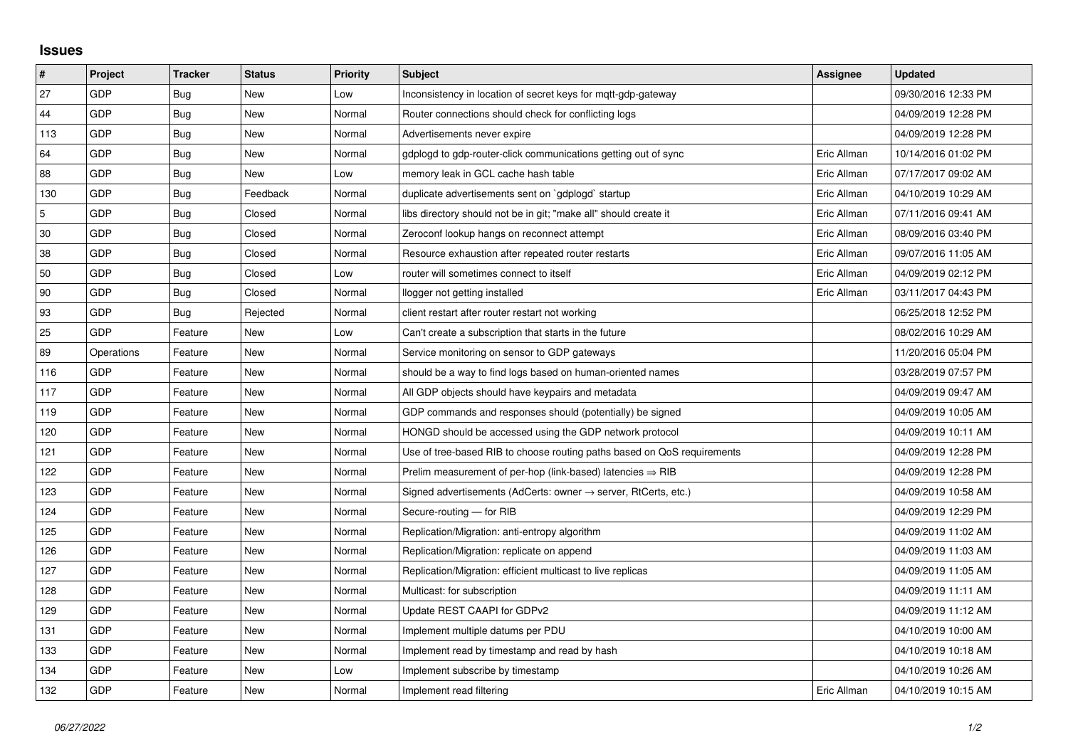## **Issues**

| #   | Project    | <b>Tracker</b> | <b>Status</b> | <b>Priority</b> | <b>Subject</b>                                                             | Assignee    | <b>Updated</b>      |
|-----|------------|----------------|---------------|-----------------|----------------------------------------------------------------------------|-------------|---------------------|
| 27  | GDP        | Bug            | <b>New</b>    | Low             | Inconsistency in location of secret keys for mqtt-gdp-gateway              |             | 09/30/2016 12:33 PM |
| 44  | GDP        | Bug            | New           | Normal          | Router connections should check for conflicting logs                       |             | 04/09/2019 12:28 PM |
| 113 | GDP        | Bug            | New           | Normal          | Advertisements never expire                                                |             | 04/09/2019 12:28 PM |
| 64  | GDP        | <b>Bug</b>     | <b>New</b>    | Normal          | gdplogd to gdp-router-click communications getting out of sync             | Eric Allman | 10/14/2016 01:02 PM |
| 88  | GDP        | Bug            | New           | Low             | memory leak in GCL cache hash table                                        | Eric Allman | 07/17/2017 09:02 AM |
| 130 | GDP        | Bug            | Feedback      | Normal          | duplicate advertisements sent on `gdplogd` startup                         | Eric Allman | 04/10/2019 10:29 AM |
| 5   | GDP        | Bug            | Closed        | Normal          | libs directory should not be in git; "make all" should create it           | Eric Allman | 07/11/2016 09:41 AM |
| 30  | GDP        | Bug            | Closed        | Normal          | Zeroconf lookup hangs on reconnect attempt                                 | Eric Allman | 08/09/2016 03:40 PM |
| 38  | GDP        | Bug            | Closed        | Normal          | Resource exhaustion after repeated router restarts                         | Eric Allman | 09/07/2016 11:05 AM |
| 50  | GDP        | <b>Bug</b>     | Closed        | Low             | router will sometimes connect to itself                                    | Eric Allman | 04/09/2019 02:12 PM |
| 90  | GDP        | Bug            | Closed        | Normal          | llogger not getting installed                                              | Eric Allman | 03/11/2017 04:43 PM |
| 93  | GDP        | Bug            | Rejected      | Normal          | client restart after router restart not working                            |             | 06/25/2018 12:52 PM |
| 25  | GDP        | Feature        | New           | Low             | Can't create a subscription that starts in the future                      |             | 08/02/2016 10:29 AM |
| 89  | Operations | Feature        | New           | Normal          | Service monitoring on sensor to GDP gateways                               |             | 11/20/2016 05:04 PM |
| 116 | GDP        | Feature        | New           | Normal          | should be a way to find logs based on human-oriented names                 |             | 03/28/2019 07:57 PM |
| 117 | GDP        | Feature        | New           | Normal          | All GDP objects should have keypairs and metadata                          |             | 04/09/2019 09:47 AM |
| 119 | GDP        | Feature        | New           | Normal          | GDP commands and responses should (potentially) be signed                  |             | 04/09/2019 10:05 AM |
| 120 | GDP        | Feature        | New           | Normal          | HONGD should be accessed using the GDP network protocol                    |             | 04/09/2019 10:11 AM |
| 121 | GDP        | Feature        | New           | Normal          | Use of tree-based RIB to choose routing paths based on QoS requirements    |             | 04/09/2019 12:28 PM |
| 122 | GDP        | Feature        | New           | Normal          | Prelim measurement of per-hop (link-based) latencies $\Rightarrow$ RIB     |             | 04/09/2019 12:28 PM |
| 123 | GDP        | Feature        | New           | Normal          | Signed advertisements (AdCerts: owner $\rightarrow$ server, RtCerts, etc.) |             | 04/09/2019 10:58 AM |
| 124 | GDP        | Feature        | New           | Normal          | Secure-routing - for RIB                                                   |             | 04/09/2019 12:29 PM |
| 125 | GDP        | Feature        | New           | Normal          | Replication/Migration: anti-entropy algorithm                              |             | 04/09/2019 11:02 AM |
| 126 | GDP        | Feature        | New           | Normal          | Replication/Migration: replicate on append                                 |             | 04/09/2019 11:03 AM |
| 127 | GDP        | Feature        | New           | Normal          | Replication/Migration: efficient multicast to live replicas                |             | 04/09/2019 11:05 AM |
| 128 | GDP        | Feature        | New           | Normal          | Multicast: for subscription                                                |             | 04/09/2019 11:11 AM |
| 129 | GDP        | Feature        | New           | Normal          | Update REST CAAPI for GDPv2                                                |             | 04/09/2019 11:12 AM |
| 131 | GDP        | Feature        | New           | Normal          | Implement multiple datums per PDU                                          |             | 04/10/2019 10:00 AM |
| 133 | GDP        | Feature        | <b>New</b>    | Normal          | Implement read by timestamp and read by hash                               |             | 04/10/2019 10:18 AM |
| 134 | <b>GDP</b> | Feature        | New           | Low             | Implement subscribe by timestamp                                           |             | 04/10/2019 10:26 AM |
| 132 | GDP        | Feature        | New           | Normal          | Implement read filtering                                                   | Eric Allman | 04/10/2019 10:15 AM |